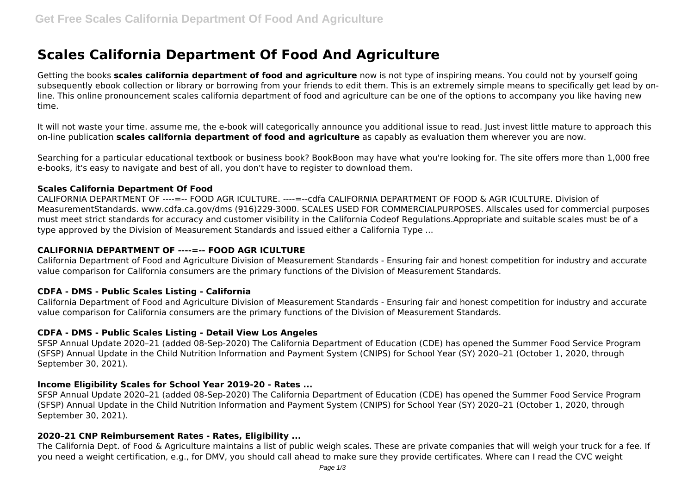# **Scales California Department Of Food And Agriculture**

Getting the books **scales california department of food and agriculture** now is not type of inspiring means. You could not by yourself going subsequently ebook collection or library or borrowing from your friends to edit them. This is an extremely simple means to specifically get lead by online. This online pronouncement scales california department of food and agriculture can be one of the options to accompany you like having new time.

It will not waste your time. assume me, the e-book will categorically announce you additional issue to read. Just invest little mature to approach this on-line publication **scales california department of food and agriculture** as capably as evaluation them wherever you are now.

Searching for a particular educational textbook or business book? BookBoon may have what you're looking for. The site offers more than 1,000 free e-books, it's easy to navigate and best of all, you don't have to register to download them.

## **Scales California Department Of Food**

CALIFORNIA DEPARTMENT OF ----=-- FOOD AGR ICULTURE. ----=--cdfa CALIFORNIA DEPARTMENT OF FOOD & AGR ICULTURE. Division of MeasurementStandards. www.cdfa.ca.gov/dms (916)229‐3000. SCALES USED FOR COMMERCIALPURPOSES. Allscales used for commercial purposes must meet strict standards for accuracy and customer visibility in the California Codeof Regulations.Appropriate and suitable scales must be of a type approved by the Division of Measurement Standards and issued either a California Type ...

## **CALIFORNIA DEPARTMENT OF ----=-- FOOD AGR ICULTURE**

California Department of Food and Agriculture Division of Measurement Standards - Ensuring fair and honest competition for industry and accurate value comparison for California consumers are the primary functions of the Division of Measurement Standards.

#### **CDFA - DMS - Public Scales Listing - California**

California Department of Food and Agriculture Division of Measurement Standards - Ensuring fair and honest competition for industry and accurate value comparison for California consumers are the primary functions of the Division of Measurement Standards.

# **CDFA - DMS - Public Scales Listing - Detail View Los Angeles**

SFSP Annual Update 2020–21 (added 08-Sep-2020) The California Department of Education (CDE) has opened the Summer Food Service Program (SFSP) Annual Update in the Child Nutrition Information and Payment System (CNIPS) for School Year (SY) 2020–21 (October 1, 2020, through September 30, 2021).

#### **Income Eligibility Scales for School Year 2019-20 - Rates ...**

SFSP Annual Update 2020–21 (added 08-Sep-2020) The California Department of Education (CDE) has opened the Summer Food Service Program (SFSP) Annual Update in the Child Nutrition Information and Payment System (CNIPS) for School Year (SY) 2020–21 (October 1, 2020, through September 30, 2021).

# **2020–21 CNP Reimbursement Rates - Rates, Eligibility ...**

The California Dept. of Food & Agriculture maintains a list of public weigh scales. These are private companies that will weigh your truck for a fee. If you need a weight certification, e.g., for DMV, you should call ahead to make sure they provide certificates. Where can I read the CVC weight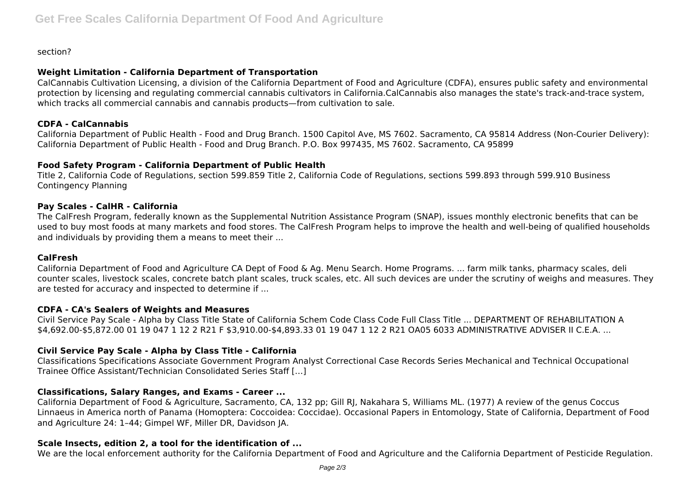section?

## **Weight Limitation - California Department of Transportation**

CalCannabis Cultivation Licensing, a division of the California Department of Food and Agriculture (CDFA), ensures public safety and environmental protection by licensing and regulating commercial cannabis cultivators in California.CalCannabis also manages the state's track-and-trace system, which tracks all commercial cannabis and cannabis products—from cultivation to sale.

## **CDFA - CalCannabis**

California Department of Public Health - Food and Drug Branch. 1500 Capitol Ave, MS 7602. Sacramento, CA 95814 Address (Non-Courier Delivery): California Department of Public Health - Food and Drug Branch. P.O. Box 997435, MS 7602. Sacramento, CA 95899

## **Food Safety Program - California Department of Public Health**

Title 2, California Code of Regulations, section 599.859 Title 2, California Code of Regulations, sections 599.893 through 599.910 Business Contingency Planning

## **Pay Scales - CalHR - California**

The CalFresh Program, federally known as the Supplemental Nutrition Assistance Program (SNAP), issues monthly electronic benefits that can be used to buy most foods at many markets and food stores. The CalFresh Program helps to improve the health and well-being of qualified households and individuals by providing them a means to meet their ...

#### **CalFresh**

California Department of Food and Agriculture CA Dept of Food & Ag. Menu Search. Home Programs. ... farm milk tanks, pharmacy scales, deli counter scales, livestock scales, concrete batch plant scales, truck scales, etc. All such devices are under the scrutiny of weighs and measures. They are tested for accuracy and inspected to determine if ...

# **CDFA - CA's Sealers of Weights and Measures**

Civil Service Pay Scale - Alpha by Class Title State of California Schem Code Class Code Full Class Title ... DEPARTMENT OF REHABILITATION A \$4,692.00-\$5,872.00 01 19 047 1 12 2 R21 F \$3,910.00-\$4,893.33 01 19 047 1 12 2 R21 OA05 6033 ADMINISTRATIVE ADVISER II C.E.A. ...

# **Civil Service Pay Scale - Alpha by Class Title - California**

Classifications Specifications Associate Government Program Analyst Correctional Case Records Series Mechanical and Technical Occupational Trainee Office Assistant/Technician Consolidated Series Staff […]

# **Classifications, Salary Ranges, and Exams - Career ...**

California Department of Food & Agriculture, Sacramento, CA, 132 pp; Gill RJ, Nakahara S, Williams ML. (1977) A review of the genus Coccus Linnaeus in America north of Panama (Homoptera: Coccoidea: Coccidae). Occasional Papers in Entomology, State of California, Department of Food and Agriculture 24: 1–44; Gimpel WF, Miller DR, Davidson JA.

# **Scale Insects, edition 2, a tool for the identification of ...**

We are the local enforcement authority for the California Department of Food and Agriculture and the California Department of Pesticide Regulation.